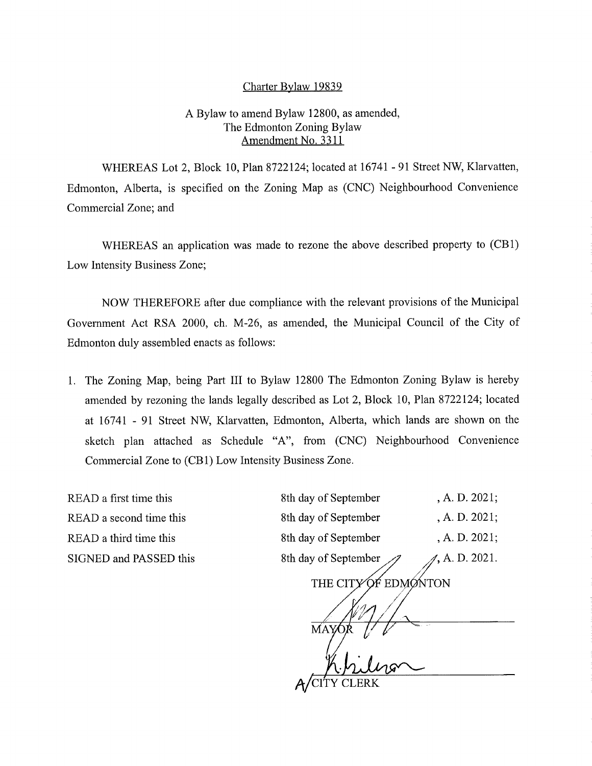## Charter Bylaw 19839

## A Bylaw to amend Bylaw 12800, as amended, The Edmonton Zoning Bylaw Amendment No. 3311

WHEREAS Lot 2, Block 10, Plan 8722124; located at 16741 - 91 Street NW, Klarvatten, Edmonton, Alberta, is specified on the Zoning Map as (CNC) Neighbourhood Convenience Commercial Zone; and

WHEREAS an application was made to rezone the above described property to (CB1) Low Intensity Business Zone;

NOW THEREFORE after due compliance with the relevant provisions of the Municipal Government Act RSA 2000, ch. M-26, as amended, the Municipal Council of the City of Edmonton duly assembled enacts as follows:

1. The Zoning Map, being Part III to Bylaw 12800 The Edmonton Zoning Bylaw is hereby amended by rezoning the lands legally described as Lot 2, Block 10, Plan 8722124; located at 16741 - 91 Street NW, Klarvatten, Edmonton, Alberta, which lands are shown on the sketch plan attached as Schedule "A", from (CNC) Neighbourhood Convenience Commercial Zone to (CBI) Low Intensity Business Zone.

READ a first time this READ a second time this READ a third time this SIGNED and PASSED this

| 8th day of September | , A. D. 2021;          |
|----------------------|------------------------|
| 8th day of September | A. D. 2021;            |
| 8th day of September | , A. D. $2021$ ;       |
| 8th day of September | $\angle$ , A. D. 2021. |

THE CITY OF EDMONTON

MAY  $A/C$ ITY CLERK